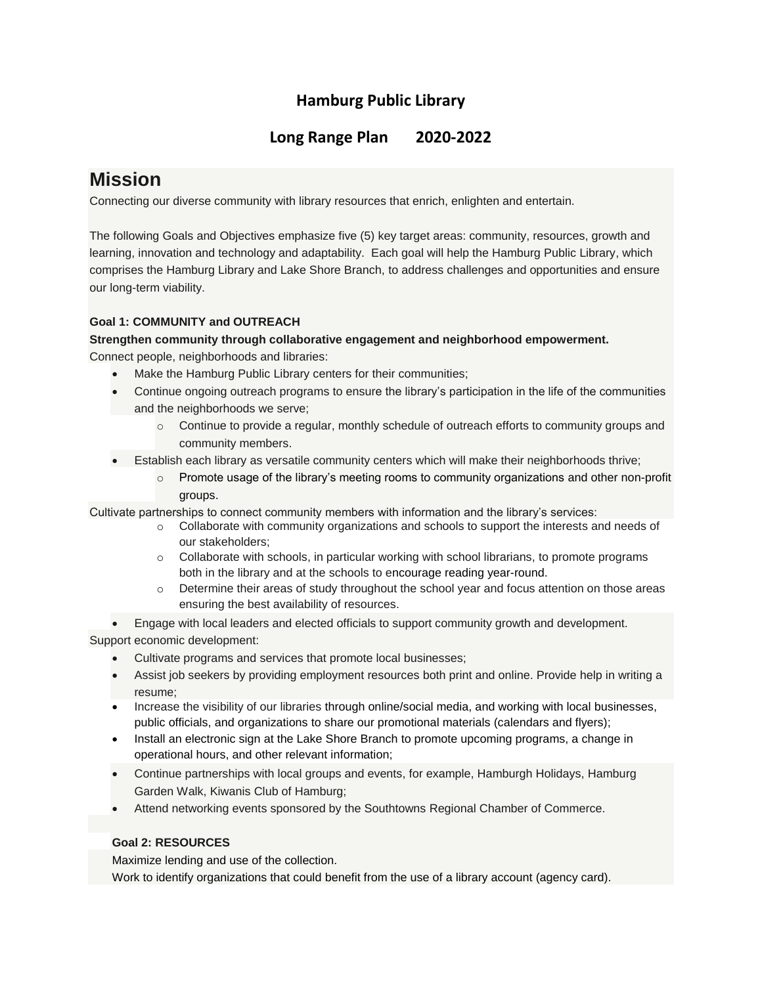# **Hamburg Public Library**

# **Long Range Plan 2020-2022**

# **Mission**

Connecting our diverse community with library resources that enrich, enlighten and entertain.

The following Goals and Objectives emphasize five (5) key target areas: community, resources, growth and learning, innovation and technology and adaptability. Each goal will help the Hamburg Public Library, which comprises the Hamburg Library and Lake Shore Branch, to address challenges and opportunities and ensure our long-term viability.

# **Goal 1: COMMUNITY and OUTREACH**

## **Strengthen community through collaborative engagement and neighborhood empowerment.**

Connect people, neighborhoods and libraries:

- Make the Hamburg Public Library centers for their communities;
- Continue ongoing outreach programs to ensure the library's participation in the life of the communities and the neighborhoods we serve;
	- $\circ$  Continue to provide a regular, monthly schedule of outreach efforts to community groups and community members.
- Establish each library as versatile community centers which will make their neighborhoods thrive;
	- $\circ$  Promote usage of the library's meeting rooms to community organizations and other non-profit groups.

Cultivate partnerships to connect community members with information and the library's services:

- o Collaborate with community organizations and schools to support the interests and needs of our stakeholders;
- $\circ$  Collaborate with schools, in particular working with school librarians, to promote programs both in the library and at the schools to encourage reading year-round.
- o Determine their areas of study throughout the school year and focus attention on those areas ensuring the best availability of resources.
- **Engage with local leaders and elected officials to support community growth and development.**

Support economic development:

- Cultivate programs and services that promote local businesses;
- Assist job seekers by providing employment resources both print and online. Provide help in writing a resume;
- Increase the visibility of our libraries through online/social media, and working with local businesses, public officials, and organizations to share our promotional materials (calendars and flyers);
- Install an electronic sign at the Lake Shore Branch to promote upcoming programs, a change in operational hours, and other relevant information;
- Continue partnerships with local groups and events, for example, Hamburgh Holidays, Hamburg Garden Walk, Kiwanis Club of Hamburg;
- Attend networking events sponsored by the Southtowns Regional Chamber of Commerce.

## **Goal 2: RESOURCES**

Maximize lending and use of the collection.

Work to identify organizations that could benefit from the use of a library account (agency card).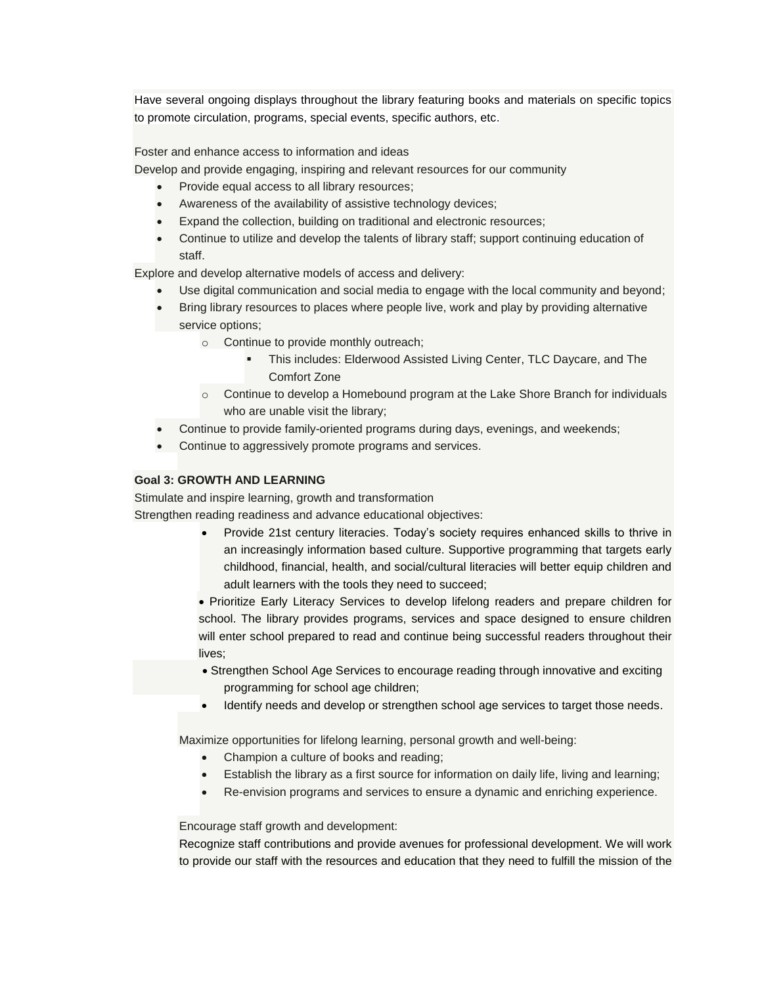Have several ongoing displays throughout the library featuring books and materials on specific topics to promote circulation, programs, special events, specific authors, etc.

Foster and enhance access to information and ideas

Develop and provide engaging, inspiring and relevant resources for our community

- Provide equal access to all library resources;
- Awareness of the availability of assistive technology devices;
- Expand the collection, building on traditional and electronic resources;
- Continue to utilize and develop the talents of library staff; support continuing education of staff.

Explore and develop alternative models of access and delivery:

- Use digital communication and social media to engage with the local community and beyond;
- Bring library resources to places where people live, work and play by providing alternative service options;
	- o Continue to provide monthly outreach;
		- This includes: Elderwood Assisted Living Center, TLC Daycare, and The Comfort Zone
	- $\circ$  Continue to develop a Homebound program at the Lake Shore Branch for individuals who are unable visit the library;
- Continue to provide family-oriented programs during days, evenings, and weekends;
- Continue to aggressively promote programs and services.

#### **Goal 3: GROWTH AND LEARNING**

Stimulate and inspire learning, growth and transformation

Strengthen reading readiness and advance educational objectives:

 Provide 21st century literacies. Today's society requires enhanced skills to thrive in an increasingly information based culture. Supportive programming that targets early childhood, financial, health, and social/cultural literacies will better equip children and adult learners with the tools they need to succeed;

 Prioritize Early Literacy Services to develop lifelong readers and prepare children for school. The library provides programs, services and space designed to ensure children will enter school prepared to read and continue being successful readers throughout their lives;

- Strengthen School Age Services to encourage reading through innovative and exciting programming for school age children;
- Identify needs and develop or strengthen school age services to target those needs.

Maximize opportunities for lifelong learning, personal growth and well-being:

- Champion a culture of books and reading;
- Establish the library as a first source for information on daily life, living and learning;
- Re-envision programs and services to ensure a dynamic and enriching experience.

#### Encourage staff growth and development:

Recognize staff contributions and provide avenues for professional development. We will work to provide our staff with the resources and education that they need to fulfill the mission of the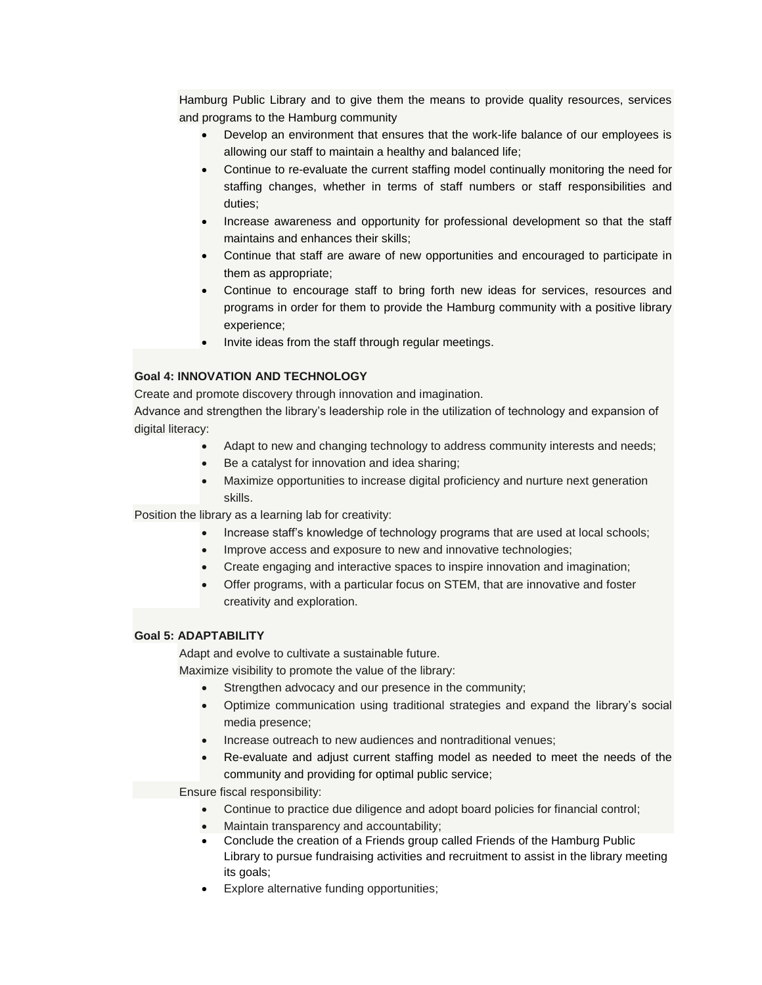Hamburg Public Library and to give them the means to provide quality resources, services and programs to the Hamburg community

- Develop an environment that ensures that the work-life balance of our employees is allowing our staff to maintain a healthy and balanced life;
- Continue to re-evaluate the current staffing model continually monitoring the need for staffing changes, whether in terms of staff numbers or staff responsibilities and duties;
- Increase awareness and opportunity for professional development so that the staff maintains and enhances their skills;
- Continue that staff are aware of new opportunities and encouraged to participate in them as appropriate;
- Continue to encourage staff to bring forth new ideas for services, resources and programs in order for them to provide the Hamburg community with a positive library experience;
- Invite ideas from the staff through regular meetings.

### **Goal 4: INNOVATION AND TECHNOLOGY**

Create and promote discovery through innovation and imagination.

Advance and strengthen the library's leadership role in the utilization of technology and expansion of digital literacy:

- Adapt to new and changing technology to address community interests and needs;
- Be a catalyst for innovation and idea sharing;
- Maximize opportunities to increase digital proficiency and nurture next generation skills.

Position the library as a learning lab for creativity:

- Increase staff's knowledge of technology programs that are used at local schools;
- Improve access and exposure to new and innovative technologies;
- Create engaging and interactive spaces to inspire innovation and imagination;
- Offer programs, with a particular focus on STEM, that are innovative and foster creativity and exploration.

#### **Goal 5: ADAPTABILITY**

Adapt and evolve to cultivate a sustainable future.

Maximize visibility to promote the value of the library:

- Strengthen advocacy and our presence in the community;
- Optimize communication using traditional strategies and expand the library's social media presence;
- Increase outreach to new audiences and nontraditional venues;
- Re-evaluate and adjust current staffing model as needed to meet the needs of the community and providing for optimal public service;

Ensure fiscal responsibility:

- Continue to practice due diligence and adopt board policies for financial control;
- Maintain transparency and accountability;
- Conclude the creation of a Friends group called Friends of the Hamburg Public Library to pursue fundraising activities and recruitment to assist in the library meeting its goals;
- Explore alternative funding opportunities;